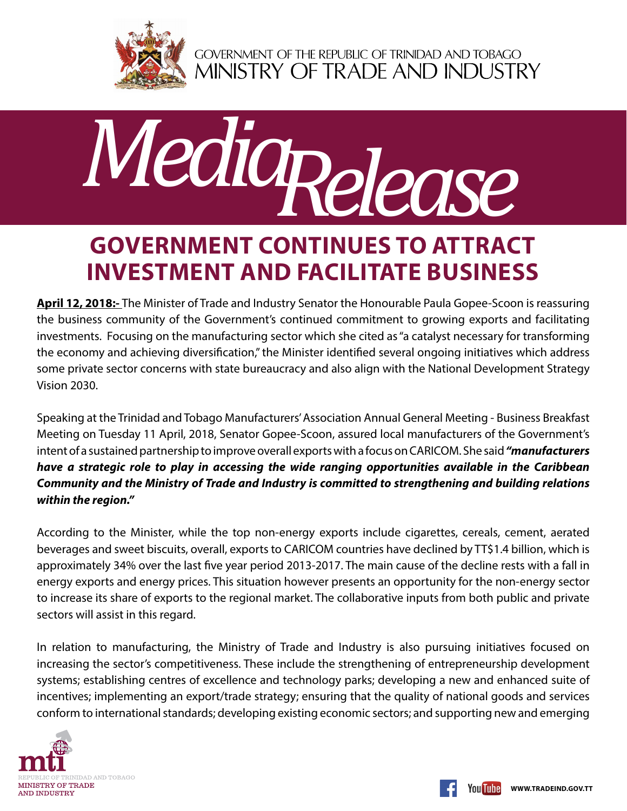

GOVERNMENT OF THE REPUBLIC OF TRINIDAD AND TOBAGO<br>MINISTRY OF TRADE AND INDUSTRY



## **Government continues to attract investment and facilitate business**

**April 12, 2018:-** The Minister of Trade and Industry Senator the Honourable Paula Gopee-Scoon is reassuring the business community of the Government's continued commitment to growing exports and facilitating investments. Focusing on the manufacturing sector which she cited as "a catalyst necessary for transforming the economy and achieving diversification," the Minister identified several ongoing initiatives which address some private sector concerns with state bureaucracy and also align with the National Development Strategy Vision 2030.

Speaking at the Trinidad and Tobago Manufacturers' Association Annual General Meeting - Business Breakfast Meeting on Tuesday 11 April, 2018, Senator Gopee-Scoon, assured local manufacturers of the Government's intent of a sustained partnership to improve overall exports with a focus on CARICOM. She said *"manufacturers have a strategic role to play in accessing the wide ranging opportunities available in the Caribbean Community and the Ministry of Trade and Industry is committed to strengthening and building relations within the region."*

According to the Minister, while the top non-energy exports include cigarettes, cereals, cement, aerated beverages and sweet biscuits, overall, exports to CARICOM countries have declined by TT\$1.4 billion, which is approximately 34% over the last five year period 2013-2017. The main cause of the decline rests with a fall in energy exports and energy prices. This situation however presents an opportunity for the non-energy sector to increase its share of exports to the regional market. The collaborative inputs from both public and private sectors will assist in this regard.

In relation to manufacturing, the Ministry of Trade and Industry is also pursuing initiatives focused on increasing the sector's competitiveness. These include the strengthening of entrepreneurship development systems; establishing centres of excellence and technology parks; developing a new and enhanced suite of incentives; implementing an export/trade strategy; ensuring that the quality of national goods and services conform to international standards; developing existing economic sectors; and supporting new and emerging